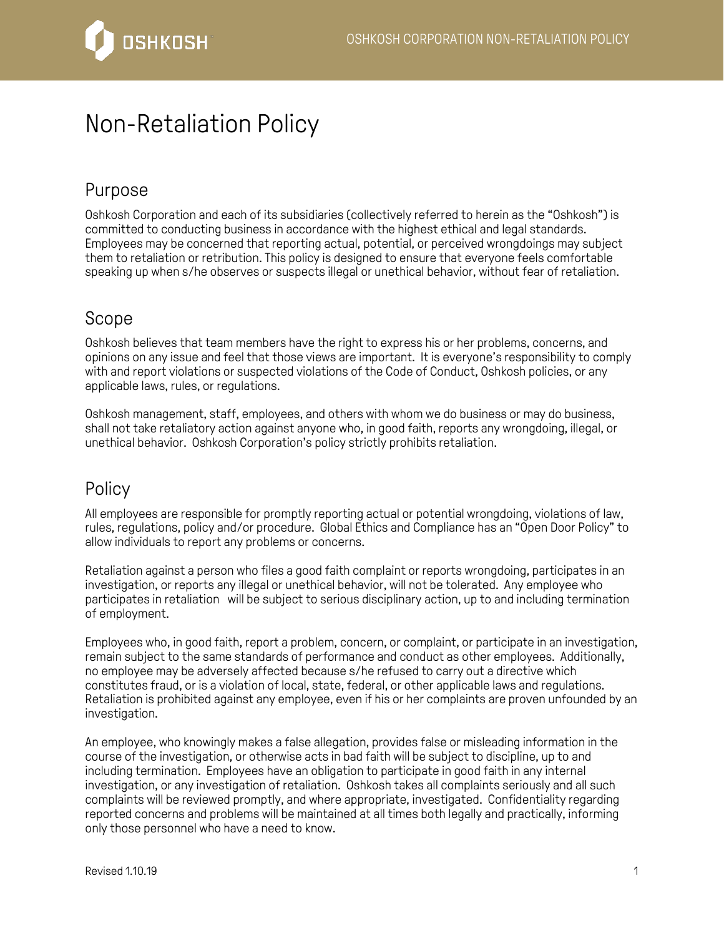

## Non-Retaliation Policy

## Purpose

Oshkosh Corporation and each of its subsidiaries (collectively referred to herein as the "Oshkosh") is committed to conducting business in accordance with the highest ethical and legal standards. Employees may be concerned that reporting actual, potential, or perceived wrongdoings may subject them to retaliation or retribution. This policy is designed to ensure that everyone feels comfortable speaking up when s/he observes or suspects illegal or unethical behavior, without fear of retaliation.

## Scope

Oshkosh believes that team members have the right to express his or her problems, concerns, and opinions on any issue and feel that those views are important. It is everyone's responsibility to comply with and report violations or suspected violations of the Code of Conduct, Oshkosh policies, or any applicable laws, rules, or regulations.

Oshkosh management, staff, employees, and others with whom we do business or may do business, shall not take retaliatory action against anyone who, in good faith, reports any wrongdoing, illegal, or unethical behavior. Oshkosh Corporation's policy strictly prohibits retaliation.

## Policy

All employees are responsible for promptly reporting actual or potential wrongdoing, violations of law, rules, regulations, policy and/or procedure. Global Ethics and Compliance has an "Open Door Policy" to allow individuals to report any problems or concerns.

Retaliation against a person who files a good faith complaint or reports wrongdoing, participates in an investigation, or reports any illegal or unethical behavior, will not be tolerated. Any employee who participates in retaliation will be subject to serious disciplinary action, up to and including termination of employment.

Employees who, in good faith, report a problem, concern, or complaint, or participate in an investigation, remain subject to the same standards of performance and conduct as other employees. Additionally, no employee may be adversely affected because s/he refused to carry out a directive which constitutes fraud, or is a violation of local, state, federal, or other applicable laws and regulations. Retaliation is prohibited against any employee, even if his or her complaints are proven unfounded by an investigation.

An employee, who knowingly makes a false allegation, provides false or misleading information in the course of the investigation, or otherwise acts in bad faith will be subject to discipline, up to and including termination. Employees have an obligation to participate in good faith in any internal investigation, or any investigation of retaliation. Oshkosh takes all complaints seriously and all such complaints will be reviewed promptly, and where appropriate, investigated. Confidentiality regarding reported concerns and problems will be maintained at all times both legally and practically, informing only those personnel who have a need to know.